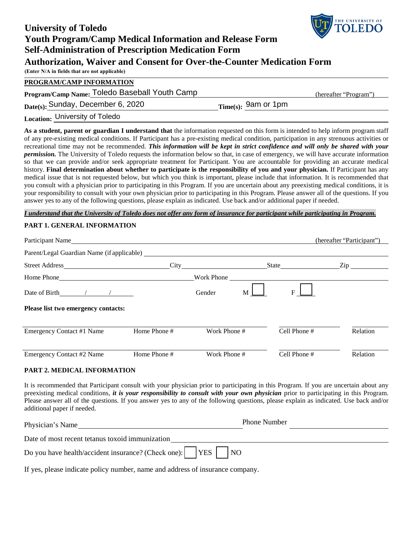| <b>University of Toledo</b>                                                                                                                                                                                                                                                                                                                                                                                                                                                                                                                                                                                                                                                                                                                                                                                                                                                                                                                                                                                                                                                                                                                                                                                                                                                                                                                                                                           | <b>WE TOLEDO</b>              |
|-------------------------------------------------------------------------------------------------------------------------------------------------------------------------------------------------------------------------------------------------------------------------------------------------------------------------------------------------------------------------------------------------------------------------------------------------------------------------------------------------------------------------------------------------------------------------------------------------------------------------------------------------------------------------------------------------------------------------------------------------------------------------------------------------------------------------------------------------------------------------------------------------------------------------------------------------------------------------------------------------------------------------------------------------------------------------------------------------------------------------------------------------------------------------------------------------------------------------------------------------------------------------------------------------------------------------------------------------------------------------------------------------------|-------------------------------|
| <b>Youth Program/Camp Medical Information and Release Form</b>                                                                                                                                                                                                                                                                                                                                                                                                                                                                                                                                                                                                                                                                                                                                                                                                                                                                                                                                                                                                                                                                                                                                                                                                                                                                                                                                        |                               |
| <b>Self-Administration of Prescription Medication Form</b>                                                                                                                                                                                                                                                                                                                                                                                                                                                                                                                                                                                                                                                                                                                                                                                                                                                                                                                                                                                                                                                                                                                                                                                                                                                                                                                                            |                               |
| <b>Authorization, Waiver and Consent for Over-the-Counter Medication Form</b>                                                                                                                                                                                                                                                                                                                                                                                                                                                                                                                                                                                                                                                                                                                                                                                                                                                                                                                                                                                                                                                                                                                                                                                                                                                                                                                         |                               |
| (Enter N/A in fields that are not applicable)                                                                                                                                                                                                                                                                                                                                                                                                                                                                                                                                                                                                                                                                                                                                                                                                                                                                                                                                                                                                                                                                                                                                                                                                                                                                                                                                                         |                               |
| PROGRAM/CAMP INFORMATION                                                                                                                                                                                                                                                                                                                                                                                                                                                                                                                                                                                                                                                                                                                                                                                                                                                                                                                                                                                                                                                                                                                                                                                                                                                                                                                                                                              |                               |
| Program/Camp Name: Toledo Baseball Youth Camp                                                                                                                                                                                                                                                                                                                                                                                                                                                                                                                                                                                                                                                                                                                                                                                                                                                                                                                                                                                                                                                                                                                                                                                                                                                                                                                                                         | (hereafter "Program")         |
| Date(s): Sunday, December 6, 2020                                                                                                                                                                                                                                                                                                                                                                                                                                                                                                                                                                                                                                                                                                                                                                                                                                                                                                                                                                                                                                                                                                                                                                                                                                                                                                                                                                     | $_{\rm Time(s)}$ : 9am or 1pm |
| Location: University of Toledo                                                                                                                                                                                                                                                                                                                                                                                                                                                                                                                                                                                                                                                                                                                                                                                                                                                                                                                                                                                                                                                                                                                                                                                                                                                                                                                                                                        |                               |
| As a student, parent or guardian I understand that the information requested on this form is intended to help inform program staff<br>of any pre-existing medical conditions. If Participant has a pre-existing medical condition, participation in any strenuous activities or<br>recreational time may not be recommended. This information will be kept in strict confidence and will only be shared with your<br><i>permission</i> . The University of Toledo requests the information below so that, in case of emergency, we will have accurate information<br>so that we can provide and/or seek appropriate treatment for Participant. You are accountable for providing an accurate medical<br>history. Final determination about whether to participate is the responsibility of you and your physician. If Participant has any<br>medical issue that is not requested below, but which you think is important, please include that information. It is recommended that<br>you consult with a physician prior to participating in this Program. If you are uncertain about any preexisting medical conditions, it is<br>your responsibility to consult with your own physician prior to participating in this Program. Please answer all of the questions. If you<br>answer yes to any of the following questions, please explain as indicated. Use back and/or additional paper if needed. |                               |
| I understand that the University of Toledo does not offer any form of insurance for participant while participating in Program.                                                                                                                                                                                                                                                                                                                                                                                                                                                                                                                                                                                                                                                                                                                                                                                                                                                                                                                                                                                                                                                                                                                                                                                                                                                                       |                               |

THE UNIVERSITY OF

#### **PART 1. GENERAL INFORMATION**

| Participant Name                                                                                                                                                                                                               |              |              |   |              | (hereafter "Participant")        |
|--------------------------------------------------------------------------------------------------------------------------------------------------------------------------------------------------------------------------------|--------------|--------------|---|--------------|----------------------------------|
| Parent/Legal Guardian Name (if applicable)                                                                                                                                                                                     |              |              |   |              |                                  |
|                                                                                                                                                                                                                                |              |              |   |              | $\mathop{\mathrm{Zip}}\nolimits$ |
| Home Phone Contract to the Contract of the Contract of the Contract of the Contract of the Contract of the Contract of the Contract of the Contract of the Contract of the Contract of the Contract of the Contract of the Con |              | Work Phone   |   |              |                                  |
| Date of Birth $\sqrt{2}$                                                                                                                                                                                                       |              | Gender       | M | F            |                                  |
| Please list two emergency contacts:                                                                                                                                                                                            |              |              |   |              |                                  |
| Emergency Contact #1 Name                                                                                                                                                                                                      | Home Phone # | Work Phone # |   | Cell Phone # | Relation                         |
| Emergency Contact #2 Name                                                                                                                                                                                                      | Home Phone # | Work Phone # |   | Cell Phone # | Relation                         |

#### **PART 2. MEDICAL INFORMATION**

It is recommended that Participant consult with your physician prior to participating in this Program. If you are uncertain about any preexisting medical conditions, *it is your responsibility to consult with your own physician* prior to participating in this Program. Please answer all of the questions. If you answer yes to any of the following questions, please explain as indicated. Use back and/or additional paper if needed.

| Physician's Name                                                                                       | <b>Phone Number</b> |
|--------------------------------------------------------------------------------------------------------|---------------------|
| Date of most recent tetanus toxoid immunization                                                        |                     |
| Do you have health/accident insurance? (Check one): $\begin{array}{ c c c c c } \hline \end{array}$ NO |                     |

If yes, please indicate policy number, name and address of insurance company.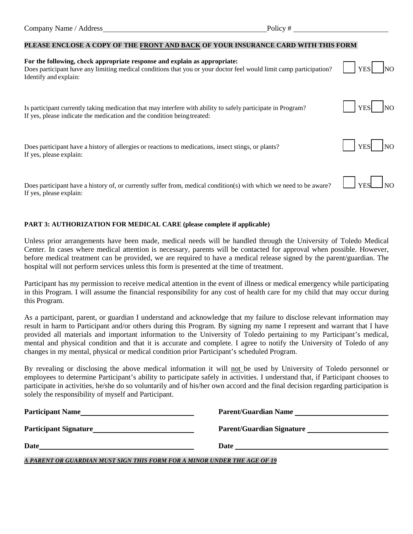## **PLEASE ENCLOSE A COPY OF THE FRONT AND BACK OF YOUR INSURANCE CARD WITH THIS FORM**

| For the following, check appropriate response and explain as appropriate:<br>Does participant have any limiting medical conditions that you or your doctor feel would limit camp participation?<br>Identify and explain: | <b>YES</b> |
|--------------------------------------------------------------------------------------------------------------------------------------------------------------------------------------------------------------------------|------------|
| Is participant currently taking medication that may interfere with ability to safely participate in Program?<br>If yes, please indicate the medication and the condition being treated:                                  | <b>YES</b> |
| Does participant have a history of allergies or reactions to medications, insect stings, or plants?<br>If yes, please explain:                                                                                           | <b>YES</b> |
| Does participant have a history of, or currently suffer from, medical condition(s) with which we need to be aware?<br>If yes, please explain:                                                                            | <b>YES</b> |

## **PART 3: AUTHORIZATION FOR MEDICAL CARE (please complete if applicable)**

Unless prior arrangements have been made, medical needs will be handled through the University of Toledo Medical Center. In cases where medical attention is necessary, parents will be contacted for approval when possible. However, before medical treatment can be provided, we are required to have a medical release signed by the parent/guardian. The hospital will not perform services unless this form is presented at the time of treatment.

Participant has my permission to receive medical attention in the event of illness or medical emergency while participating in this Program. I will assume the financial responsibility for any cost of health care for my child that may occur during this Program.

As a participant, parent, or guardian I understand and acknowledge that my failure to disclose relevant information may result in harm to Participant and/or others during this Program. By signing my name I represent and warrant that I have provided all materials and important information to the University of Toledo pertaining to my Participant's medical, mental and physical condition and that it is accurate and complete. I agree to notify the University of Toledo of any changes in my mental, physical or medical condition prior Participant's scheduled Program.

By revealing or disclosing the above medical information it will not be used by University of Toledo personnel or employees to determine Participant's ability to participate safely in activities. I understand that, if Participant chooses to participate in activities, he/she do so voluntarily and of his/her own accord and the final decision regarding participation is solely the responsibility of myself and Participant.

| <b>Participant Name</b>      | <b>Parent/Guardian Name</b>      |
|------------------------------|----------------------------------|
| <b>Participant Signature</b> | <b>Parent/Guardian Signature</b> |
| Date                         | Date                             |

*A PARENT OR GUARDIAN MUST SIGN THIS FORM FOR A MINOR UNDER THE AGE OF 19*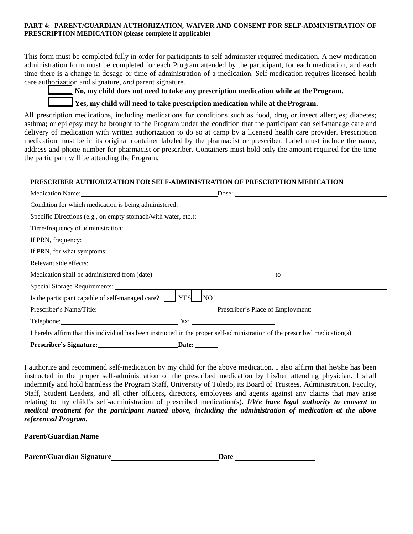#### **PART 4: PARENT/GUARDIAN AUTHORIZATION, WAIVER AND CONSENT FOR SELF-ADMINISTRATION OF PRESCRIPTION MEDICATION (please complete if applicable)**

This form must be completed fully in order for participants to self-administer required medication. A new medication administration form must be completed for each Program attended by the participant, for each medication, and each time there is a change in dosage or time of administration of a medication. Self-medication requires licensed health care authorization and signature, *and* parent signature.

 **No, my child does not need to take any prescription medication while at the Program.** 

# **Yes, my child will need to take prescription medication while at the Program.**

All prescription medications, including medications for conditions such as food, drug or insect allergies; diabetes; asthma; or epilepsy may be brought to the Program under the condition that the participant can self-manage care and delivery of medication with written authorization to do so at camp by a licensed health care provider. Prescription medication must be in its original container labeled by the pharmacist or prescriber. Label must include the name, address and phone number for pharmacist or prescriber. Containers must hold only the amount required for the time the participant will be attending the Program.

## **PRESCRIBER AUTHORIZATION FOR SELF-ADMINISTRATION OF PRESCRIPTION MEDICATION**

|                                                                 | Medication Name: Dose: Dose: Dose:                                                                                          |
|-----------------------------------------------------------------|-----------------------------------------------------------------------------------------------------------------------------|
|                                                                 |                                                                                                                             |
|                                                                 |                                                                                                                             |
|                                                                 |                                                                                                                             |
|                                                                 |                                                                                                                             |
|                                                                 |                                                                                                                             |
|                                                                 |                                                                                                                             |
|                                                                 |                                                                                                                             |
|                                                                 |                                                                                                                             |
| Is the participant capable of self-managed care?     YES     NO |                                                                                                                             |
|                                                                 | Prescriber's Name/Title: Prescriber's Place of Employment:                                                                  |
|                                                                 |                                                                                                                             |
|                                                                 | I hereby affirm that this individual has been instructed in the proper self-administration of the prescribed medication(s). |
|                                                                 |                                                                                                                             |

I authorize and recommend self-medication by my child for the above medication. I also affirm that he/she has been instructed in the proper self-administration of the prescribed medication by his/her attending physician. I shall indemnify and hold harmless the Program Staff, University of Toledo, its Board of Trustees, Administration, Faculty, Staff, Student Leaders, and all other officers, directors, employees and agents against any claims that may arise relating to my child's self-administration of prescribed medication(s). *I/We have legal authority to consent to medical treatment for the participant named above, including the administration of medication at the above referenced Program.*

**Parent/Guardian Name**

**Parent/Guardian Signature Date Date**